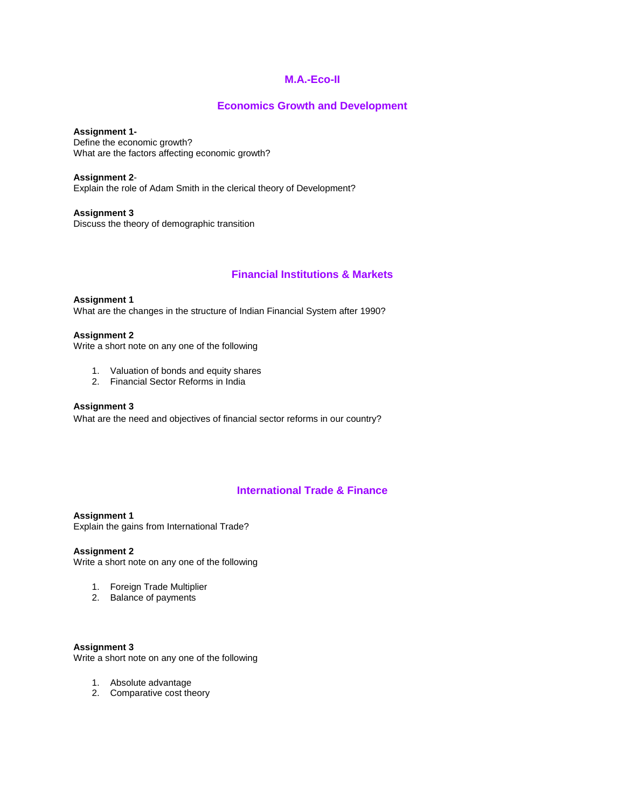## **M.A.-Eco-II**

## **Economics Growth and Development**

**Assignment 1-** Define the economic growth? What are the factors affecting economic growth?

**Assignment 2**- Explain the role of Adam Smith in the clerical theory of Development?

**Assignment 3** Discuss the theory of demographic transition

# **Financial Institutions & Markets**

**Assignment 1**  What are the changes in the structure of Indian Financial System after 1990?

### **Assignment 2**

Write a short note on any one of the following

- 1. Valuation of bonds and equity shares
- 2. Financial Sector Reforms in India

### **Assignment 3**

What are the need and objectives of financial sector reforms in our country?

# **International Trade & Finance**

**Assignment 1**  Explain the gains from International Trade?

**Assignment 2**

Write a short note on any one of the following

- 1. Foreign Trade Multiplier
- 2. Balance of payments

**Assignment 3**  Write a short note on any one of the following

- 1. Absolute advantage
- 2. Comparative cost theory